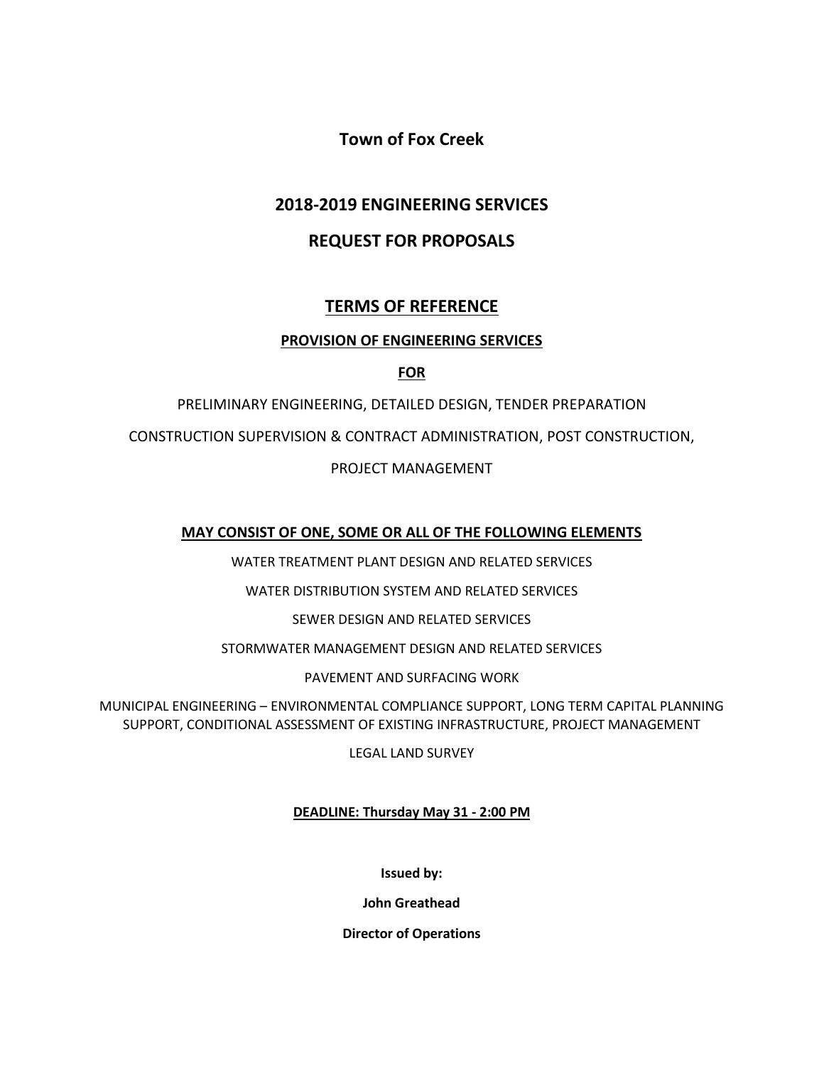**Town of Fox Creek**

# **2018-2019 ENGINEERING SERVICES**

# **REQUEST FOR PROPOSALS**

# **TERMS OF REFERENCE**

# **PROVISION OF ENGINEERING SERVICES**

**FOR**

PRELIMINARY ENGINEERING, DETAILED DESIGN, TENDER PREPARATION

CONSTRUCTION SUPERVISION & CONTRACT ADMINISTRATION, POST CONSTRUCTION,

# PROJECT MANAGEMENT

# **MAY CONSIST OF ONE, SOME OR ALL OF THE FOLLOWING ELEMENTS**

WATER TREATMENT PLANT DESIGN AND RELATED SERVICES

WATER DISTRIBUTION SYSTEM AND RELATED SERVICES

SEWER DESIGN AND RELATED SERVICES

STORMWATER MANAGEMENT DESIGN AND RELATED SERVICES

PAVEMENT AND SURFACING WORK

MUNICIPAL ENGINEERING – ENVIRONMENTAL COMPLIANCE SUPPORT, LONG TERM CAPITAL PLANNING SUPPORT, CONDITIONAL ASSESSMENT OF EXISTING INFRASTRUCTURE, PROJECT MANAGEMENT

LEGAL LAND SURVEY

# **DEADLINE: Thursday May 31 - 2:00 PM**

**Issued by:**

**John Greathead**

**Director of Operations**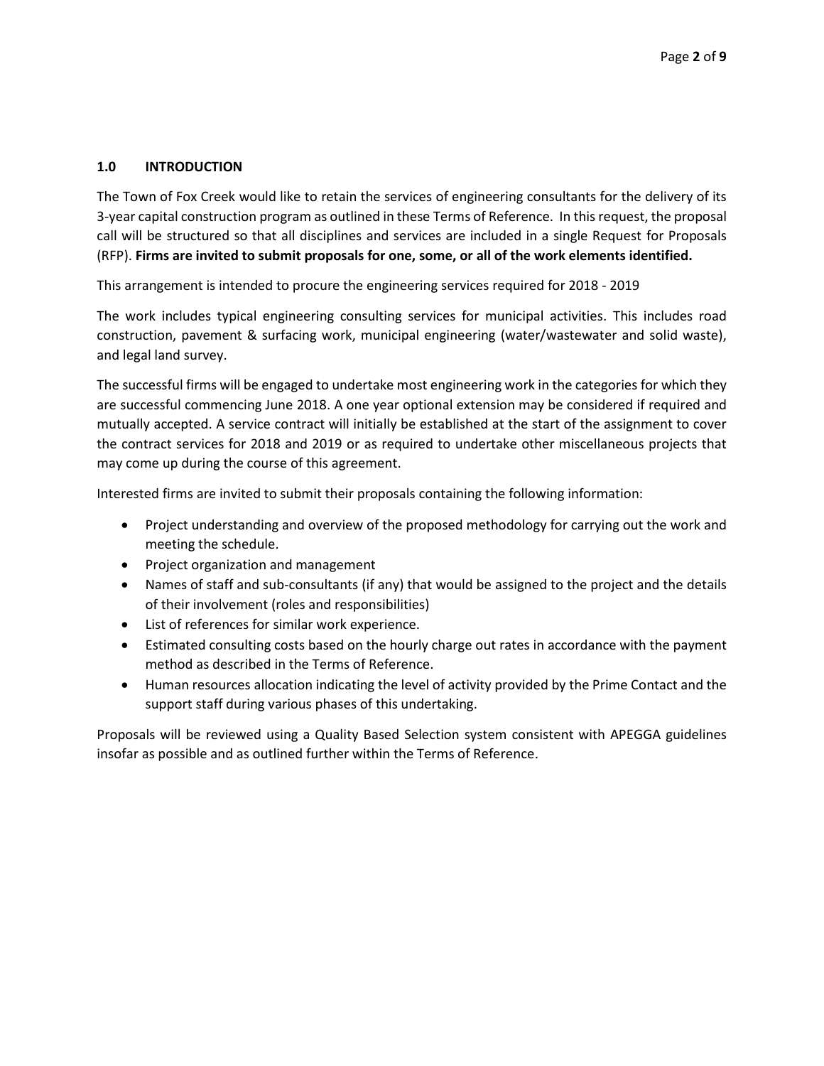## **1.0 INTRODUCTION**

The Town of Fox Creek would like to retain the services of engineering consultants for the delivery of its 3-year capital construction program as outlined in these Terms of Reference. In this request, the proposal call will be structured so that all disciplines and services are included in a single Request for Proposals (RFP). **Firms are invited to submit proposals for one, some, or all of the work elements identified.**

This arrangement is intended to procure the engineering services required for 2018 - 2019

The work includes typical engineering consulting services for municipal activities. This includes road construction, pavement & surfacing work, municipal engineering (water/wastewater and solid waste), and legal land survey.

The successful firms will be engaged to undertake most engineering work in the categories for which they are successful commencing June 2018. A one year optional extension may be considered if required and mutually accepted. A service contract will initially be established at the start of the assignment to cover the contract services for 2018 and 2019 or as required to undertake other miscellaneous projects that may come up during the course of this agreement.

Interested firms are invited to submit their proposals containing the following information:

- Project understanding and overview of the proposed methodology for carrying out the work and meeting the schedule.
- Project organization and management
- Names of staff and sub-consultants (if any) that would be assigned to the project and the details of their involvement (roles and responsibilities)
- List of references for similar work experience.
- Estimated consulting costs based on the hourly charge out rates in accordance with the payment method as described in the Terms of Reference.
- Human resources allocation indicating the level of activity provided by the Prime Contact and the support staff during various phases of this undertaking.

Proposals will be reviewed using a Quality Based Selection system consistent with APEGGA guidelines insofar as possible and as outlined further within the Terms of Reference.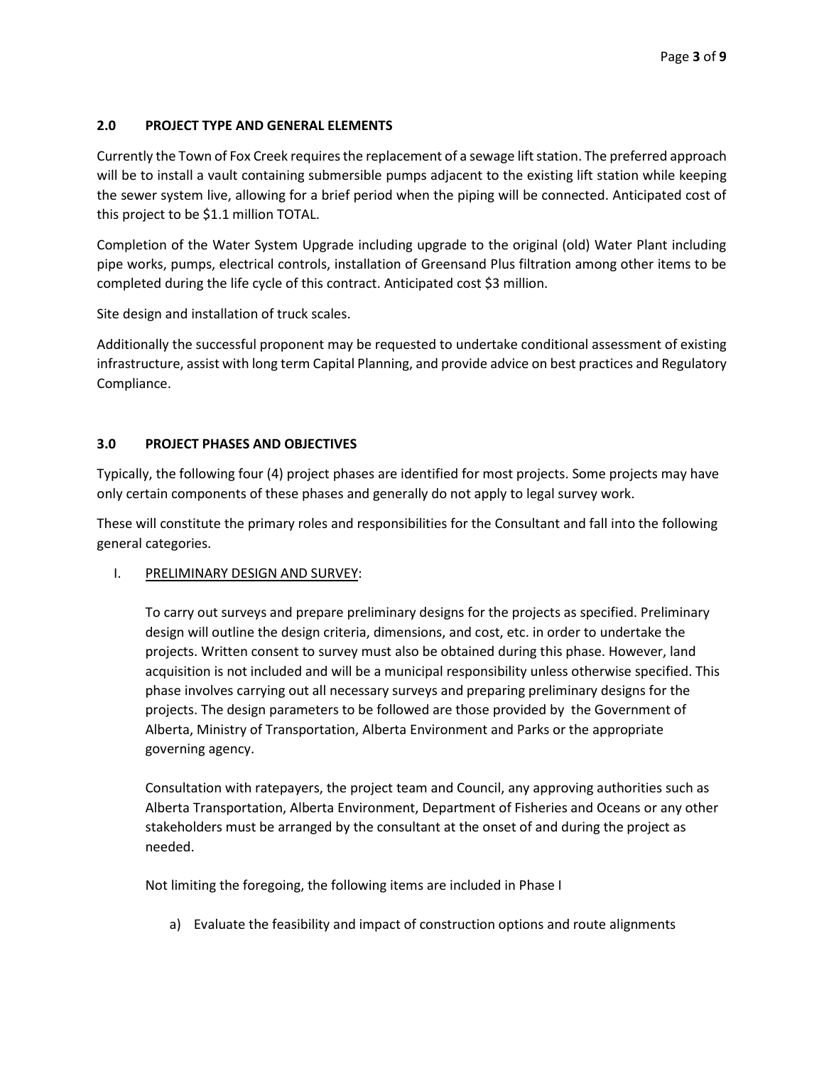# **2.0 PROJECT TYPE AND GENERAL ELEMENTS**

Currently the Town of Fox Creek requires the replacement of a sewage lift station. The preferred approach will be to install a vault containing submersible pumps adjacent to the existing lift station while keeping the sewer system live, allowing for a brief period when the piping will be connected. Anticipated cost of this project to be \$1.1 million TOTAL.

Completion of the Water System Upgrade including upgrade to the original (old) Water Plant including pipe works, pumps, electrical controls, installation of Greensand Plus filtration among other items to be completed during the life cycle of this contract. Anticipated cost \$3 million.

Site design and installation of truck scales.

Additionally the successful proponent may be requested to undertake conditional assessment of existing infrastructure, assist with long term Capital Planning, and provide advice on best practices and Regulatory Compliance.

### **3.0 PROJECT PHASES AND OBJECTIVES**

Typically, the following four (4) project phases are identified for most projects. Some projects may have only certain components of these phases and generally do not apply to legal survey work.

These will constitute the primary roles and responsibilities for the Consultant and fall into the following general categories.

### I. PRELIMINARY DESIGN AND SURVEY:

To carry out surveys and prepare preliminary designs for the projects as specified. Preliminary design will outline the design criteria, dimensions, and cost, etc. in order to undertake the projects. Written consent to survey must also be obtained during this phase. However, land acquisition is not included and will be a municipal responsibility unless otherwise specified. This phase involves carrying out all necessary surveys and preparing preliminary designs for the projects. The design parameters to be followed are those provided by the Government of Alberta, Ministry of Transportation, Alberta Environment and Parks or the appropriate governing agency.

Consultation with ratepayers, the project team and Council, any approving authorities such as Alberta Transportation, Alberta Environment, Department of Fisheries and Oceans or any other stakeholders must be arranged by the consultant at the onset of and during the project as needed.

Not limiting the foregoing, the following items are included in Phase I

a) Evaluate the feasibility and impact of construction options and route alignments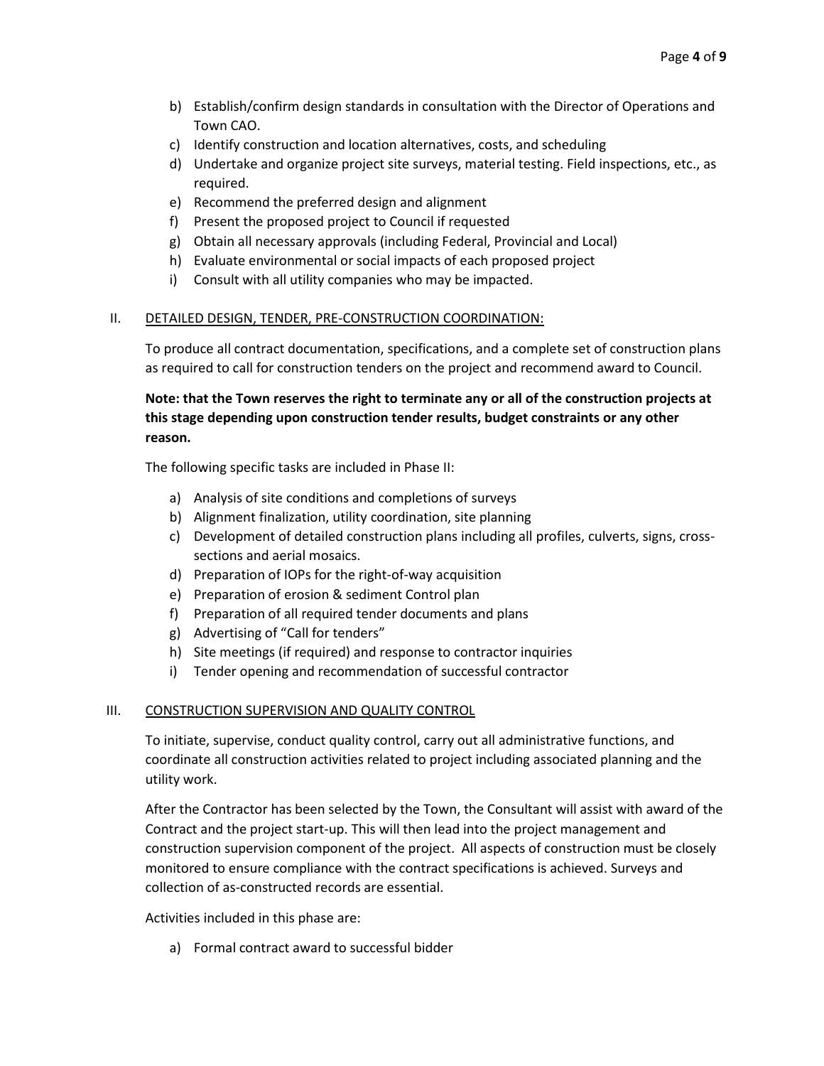- b) Establish/confirm design standards in consultation with the Director of Operations and Town CAO.
- c) Identify construction and location alternatives, costs, and scheduling
- d) Undertake and organize project site surveys, material testing. Field inspections, etc., as required.
- e) Recommend the preferred design and alignment
- f) Present the proposed project to Council if requested
- g) Obtain all necessary approvals (including Federal, Provincial and Local)
- h) Evaluate environmental or social impacts of each proposed project
- i) Consult with all utility companies who may be impacted.

### II. DETAILED DESIGN, TENDER, PRE-CONSTRUCTION COORDINATION:

To produce all contract documentation, specifications, and a complete set of construction plans as required to call for construction tenders on the project and recommend award to Council.

# **Note: that the Town reserves the right to terminate any or all of the construction projects at this stage depending upon construction tender results, budget constraints or any other reason.**

The following specific tasks are included in Phase II:

- a) Analysis of site conditions and completions of surveys
- b) Alignment finalization, utility coordination, site planning
- c) Development of detailed construction plans including all profiles, culverts, signs, crosssections and aerial mosaics.
- d) Preparation of IOPs for the right-of-way acquisition
- e) Preparation of erosion & sediment Control plan
- f) Preparation of all required tender documents and plans
- g) Advertising of "Call for tenders"
- h) Site meetings (if required) and response to contractor inquiries
- i) Tender opening and recommendation of successful contractor

### III. CONSTRUCTION SUPERVISION AND QUALITY CONTROL

To initiate, supervise, conduct quality control, carry out all administrative functions, and coordinate all construction activities related to project including associated planning and the utility work.

After the Contractor has been selected by the Town, the Consultant will assist with award of the Contract and the project start-up. This will then lead into the project management and construction supervision component of the project. All aspects of construction must be closely monitored to ensure compliance with the contract specifications is achieved. Surveys and collection of as-constructed records are essential.

Activities included in this phase are:

a) Formal contract award to successful bidder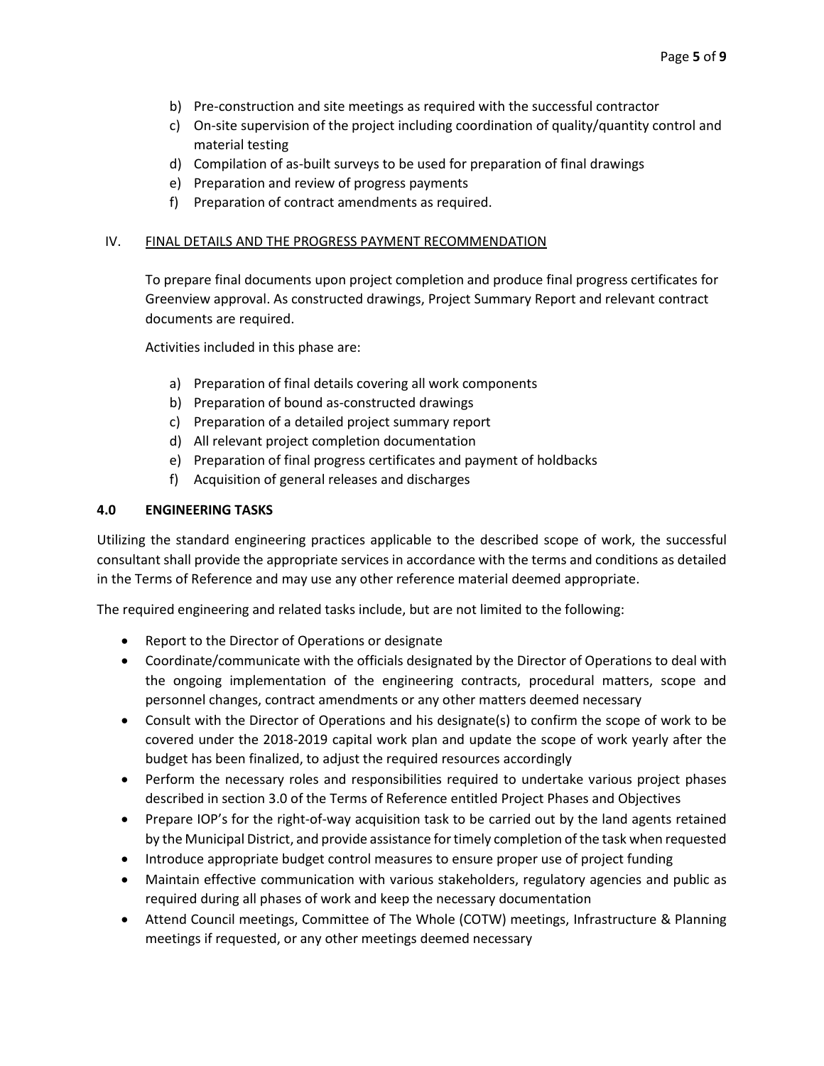- b) Pre-construction and site meetings as required with the successful contractor
- c) On-site supervision of the project including coordination of quality/quantity control and material testing
- d) Compilation of as-built surveys to be used for preparation of final drawings
- e) Preparation and review of progress payments
- f) Preparation of contract amendments as required.

### IV. FINAL DETAILS AND THE PROGRESS PAYMENT RECOMMENDATION

To prepare final documents upon project completion and produce final progress certificates for Greenview approval. As constructed drawings, Project Summary Report and relevant contract documents are required.

Activities included in this phase are:

- a) Preparation of final details covering all work components
- b) Preparation of bound as-constructed drawings
- c) Preparation of a detailed project summary report
- d) All relevant project completion documentation
- e) Preparation of final progress certificates and payment of holdbacks
- f) Acquisition of general releases and discharges

### **4.0 ENGINEERING TASKS**

Utilizing the standard engineering practices applicable to the described scope of work, the successful consultant shall provide the appropriate services in accordance with the terms and conditions as detailed in the Terms of Reference and may use any other reference material deemed appropriate.

The required engineering and related tasks include, but are not limited to the following:

- Report to the Director of Operations or designate
- Coordinate/communicate with the officials designated by the Director of Operations to deal with the ongoing implementation of the engineering contracts, procedural matters, scope and personnel changes, contract amendments or any other matters deemed necessary
- Consult with the Director of Operations and his designate(s) to confirm the scope of work to be covered under the 2018-2019 capital work plan and update the scope of work yearly after the budget has been finalized, to adjust the required resources accordingly
- Perform the necessary roles and responsibilities required to undertake various project phases described in section 3.0 of the Terms of Reference entitled Project Phases and Objectives
- Prepare IOP's for the right-of-way acquisition task to be carried out by the land agents retained by the Municipal District, and provide assistance for timely completion of the task when requested
- Introduce appropriate budget control measures to ensure proper use of project funding
- Maintain effective communication with various stakeholders, regulatory agencies and public as required during all phases of work and keep the necessary documentation
- Attend Council meetings, Committee of The Whole (COTW) meetings, Infrastructure & Planning meetings if requested, or any other meetings deemed necessary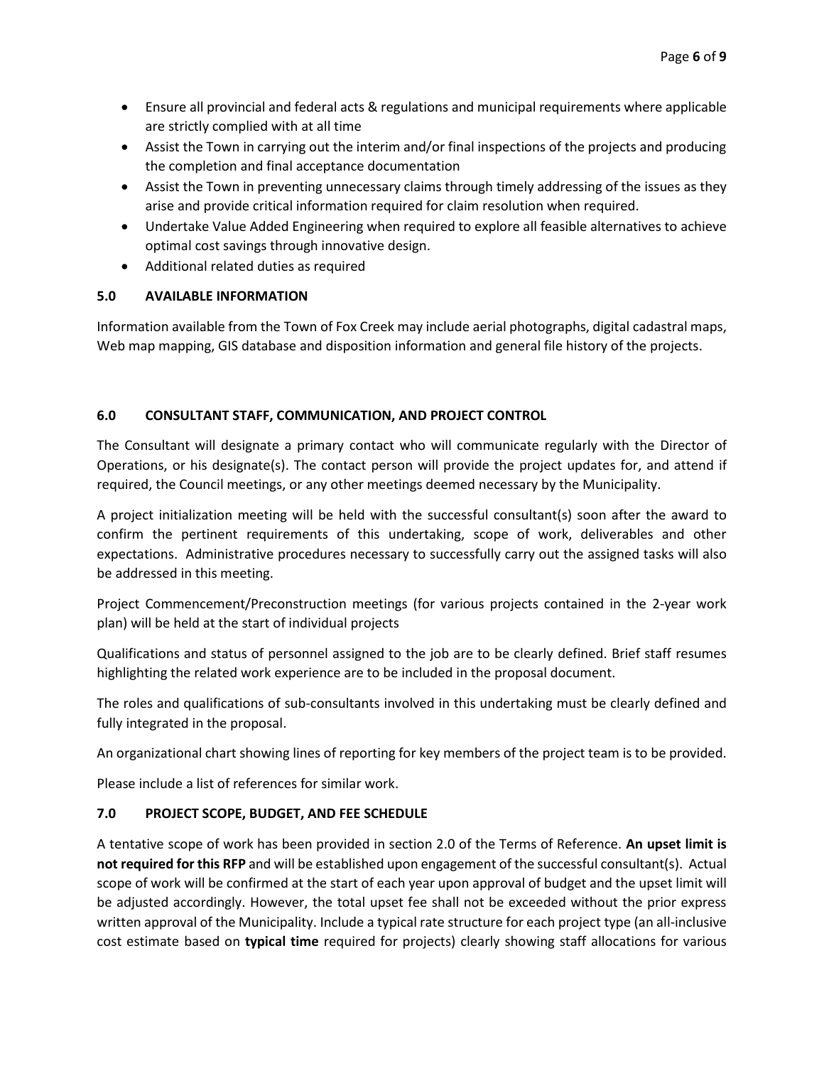- Ensure all provincial and federal acts & regulations and municipal requirements where applicable are strictly complied with at all time
- Assist the Town in carrying out the interim and/or final inspections of the projects and producing the completion and final acceptance documentation
- Assist the Town in preventing unnecessary claims through timely addressing of the issues as they arise and provide critical information required for claim resolution when required.
- Undertake Value Added Engineering when required to explore all feasible alternatives to achieve optimal cost savings through innovative design.
- Additional related duties as required

# **5.0 AVAILABLE INFORMATION**

Information available from the Town of Fox Creek may include aerial photographs, digital cadastral maps, Web map mapping, GIS database and disposition information and general file history of the projects.

# **6.0 CONSULTANT STAFF, COMMUNICATION, AND PROJECT CONTROL**

The Consultant will designate a primary contact who will communicate regularly with the Director of Operations, or his designate(s). The contact person will provide the project updates for, and attend if required, the Council meetings, or any other meetings deemed necessary by the Municipality.

A project initialization meeting will be held with the successful consultant(s) soon after the award to confirm the pertinent requirements of this undertaking, scope of work, deliverables and other expectations. Administrative procedures necessary to successfully carry out the assigned tasks will also be addressed in this meeting.

Project Commencement/Preconstruction meetings (for various projects contained in the 2-year work plan) will be held at the start of individual projects

Qualifications and status of personnel assigned to the job are to be clearly defined. Brief staff resumes highlighting the related work experience are to be included in the proposal document.

The roles and qualifications of sub-consultants involved in this undertaking must be clearly defined and fully integrated in the proposal.

An organizational chart showing lines of reporting for key members of the project team is to be provided.

Please include a list of references for similar work.

# **7.0 PROJECT SCOPE, BUDGET, AND FEE SCHEDULE**

A tentative scope of work has been provided in section 2.0 of the Terms of Reference. **An upset limit is not required for this RFP** and will be established upon engagement of the successful consultant(s). Actual scope of work will be confirmed at the start of each year upon approval of budget and the upset limit will be adjusted accordingly. However, the total upset fee shall not be exceeded without the prior express written approval of the Municipality. Include a typical rate structure for each project type (an all-inclusive cost estimate based on **typical time** required for projects) clearly showing staff allocations for various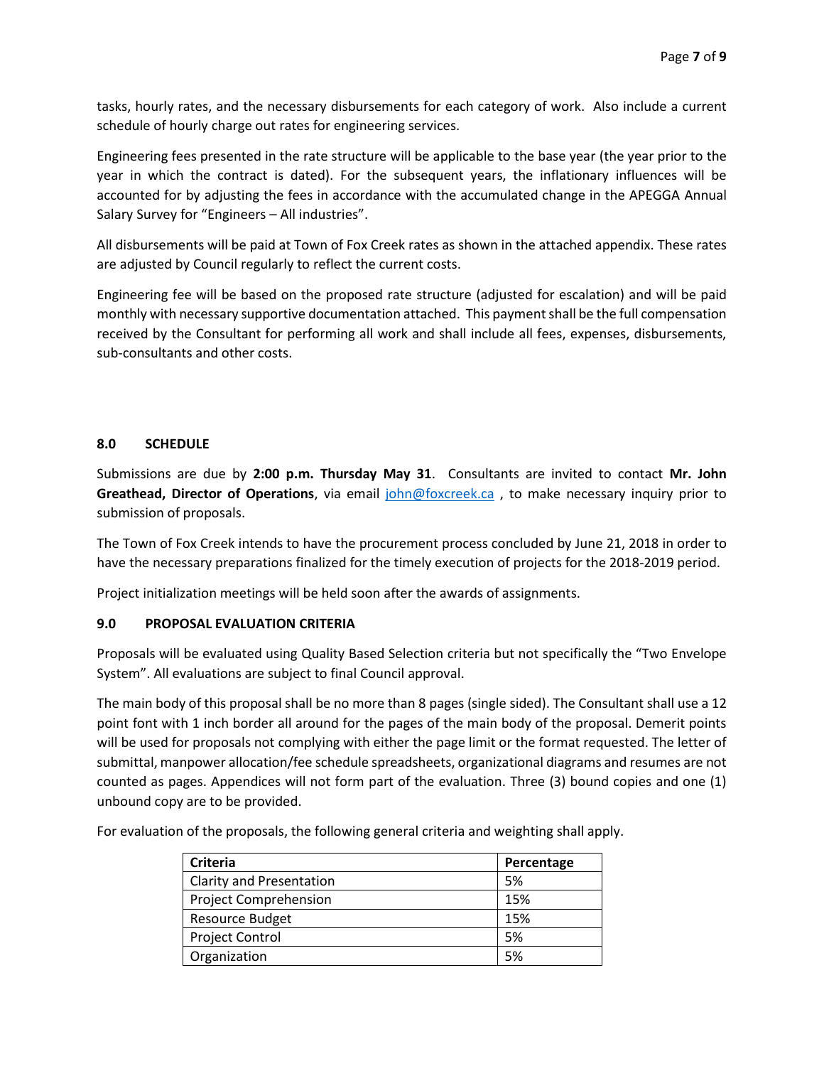tasks, hourly rates, and the necessary disbursements for each category of work. Also include a current schedule of hourly charge out rates for engineering services.

Engineering fees presented in the rate structure will be applicable to the base year (the year prior to the year in which the contract is dated). For the subsequent years, the inflationary influences will be accounted for by adjusting the fees in accordance with the accumulated change in the APEGGA Annual Salary Survey for "Engineers – All industries".

All disbursements will be paid at Town of Fox Creek rates as shown in the attached appendix. These rates are adjusted by Council regularly to reflect the current costs.

Engineering fee will be based on the proposed rate structure (adjusted for escalation) and will be paid monthly with necessary supportive documentation attached. This payment shall be the full compensation received by the Consultant for performing all work and shall include all fees, expenses, disbursements, sub-consultants and other costs.

## **8.0 SCHEDULE**

Submissions are due by **2:00 p.m. Thursday May 31**. Consultants are invited to contact **Mr. John Greathead, Director of Operations**, via email [john@foxcreek.ca](mailto:john@foxcreek.ca) , to make necessary inquiry prior to submission of proposals.

The Town of Fox Creek intends to have the procurement process concluded by June 21, 2018 in order to have the necessary preparations finalized for the timely execution of projects for the 2018-2019 period.

Project initialization meetings will be held soon after the awards of assignments.

### **9.0 PROPOSAL EVALUATION CRITERIA**

Proposals will be evaluated using Quality Based Selection criteria but not specifically the "Two Envelope System". All evaluations are subject to final Council approval.

The main body of this proposal shall be no more than 8 pages (single sided). The Consultant shall use a 12 point font with 1 inch border all around for the pages of the main body of the proposal. Demerit points will be used for proposals not complying with either the page limit or the format requested. The letter of submittal, manpower allocation/fee schedule spreadsheets, organizational diagrams and resumes are not counted as pages. Appendices will not form part of the evaluation. Three (3) bound copies and one (1) unbound copy are to be provided.

For evaluation of the proposals, the following general criteria and weighting shall apply.

| <b>Criteria</b>                 | Percentage |
|---------------------------------|------------|
| <b>Clarity and Presentation</b> | 5%         |
| <b>Project Comprehension</b>    | 15%        |
| <b>Resource Budget</b>          | 15%        |
| <b>Project Control</b>          | 5%         |
| Organization                    | .5%        |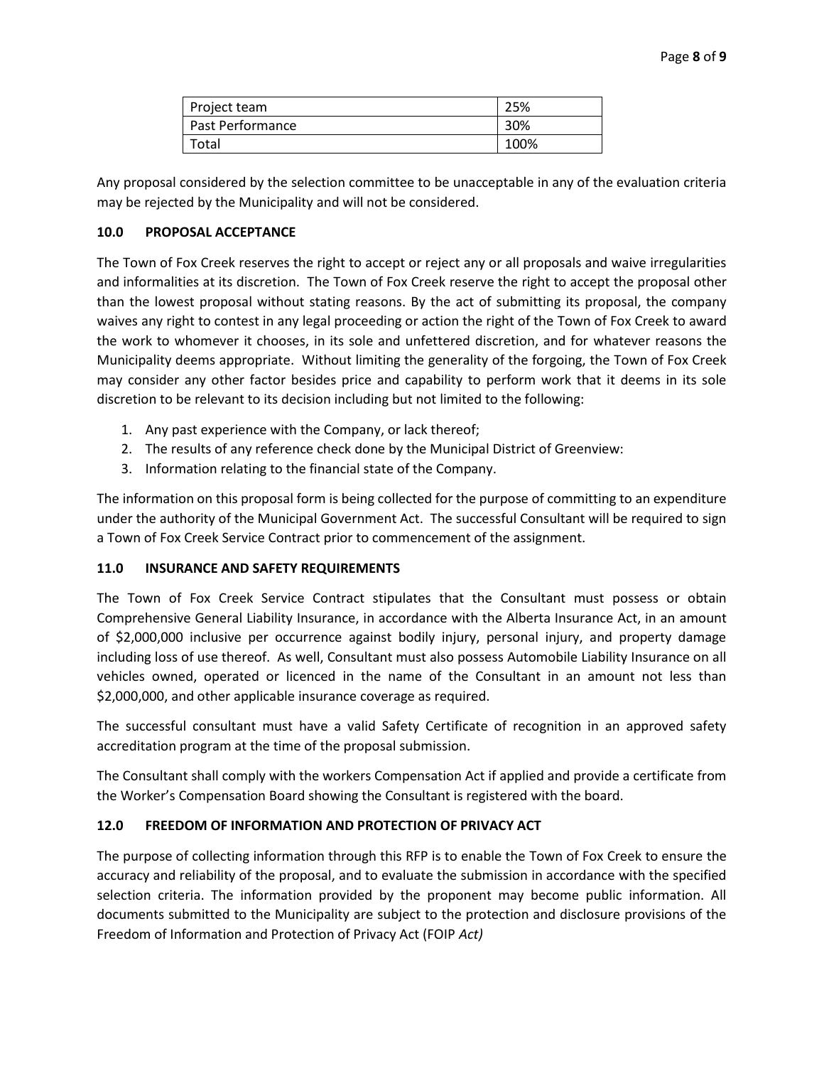| Project team     | 25%  |
|------------------|------|
| Past Performance | 30%  |
| Total            | 100% |

Any proposal considered by the selection committee to be unacceptable in any of the evaluation criteria may be rejected by the Municipality and will not be considered.

### **10.0 PROPOSAL ACCEPTANCE**

The Town of Fox Creek reserves the right to accept or reject any or all proposals and waive irregularities and informalities at its discretion. The Town of Fox Creek reserve the right to accept the proposal other than the lowest proposal without stating reasons. By the act of submitting its proposal, the company waives any right to contest in any legal proceeding or action the right of the Town of Fox Creek to award the work to whomever it chooses, in its sole and unfettered discretion, and for whatever reasons the Municipality deems appropriate. Without limiting the generality of the forgoing, the Town of Fox Creek may consider any other factor besides price and capability to perform work that it deems in its sole discretion to be relevant to its decision including but not limited to the following:

- 1. Any past experience with the Company, or lack thereof;
- 2. The results of any reference check done by the Municipal District of Greenview:
- 3. Information relating to the financial state of the Company.

The information on this proposal form is being collected for the purpose of committing to an expenditure under the authority of the Municipal Government Act. The successful Consultant will be required to sign a Town of Fox Creek Service Contract prior to commencement of the assignment.

### **11.0 INSURANCE AND SAFETY REQUIREMENTS**

The Town of Fox Creek Service Contract stipulates that the Consultant must possess or obtain Comprehensive General Liability Insurance, in accordance with the Alberta Insurance Act, in an amount of \$2,000,000 inclusive per occurrence against bodily injury, personal injury, and property damage including loss of use thereof. As well, Consultant must also possess Automobile Liability Insurance on all vehicles owned, operated or licenced in the name of the Consultant in an amount not less than \$2,000,000, and other applicable insurance coverage as required.

The successful consultant must have a valid Safety Certificate of recognition in an approved safety accreditation program at the time of the proposal submission.

The Consultant shall comply with the workers Compensation Act if applied and provide a certificate from the Worker's Compensation Board showing the Consultant is registered with the board.

# **12.0 FREEDOM OF INFORMATION AND PROTECTION OF PRIVACY ACT**

The purpose of collecting information through this RFP is to enable the Town of Fox Creek to ensure the accuracy and reliability of the proposal, and to evaluate the submission in accordance with the specified selection criteria. The information provided by the proponent may become public information. All documents submitted to the Municipality are subject to the protection and disclosure provisions of the Freedom of Information and Protection of Privacy Act (FOIP *Act)*